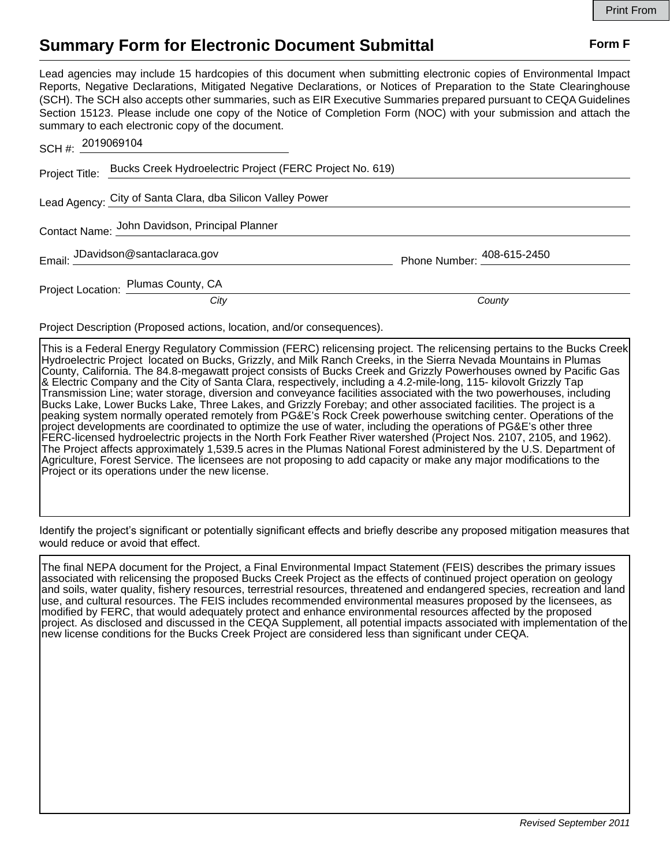## **Summary Form for Electronic Document Submittal Form F Form F**

Lead agencies may include 15 hardcopies of this document when submitting electronic copies of Environmental Impact Reports, Negative Declarations, Mitigated Negative Declarations, or Notices of Preparation to the State Clearinghouse (SCH). The SCH also accepts other summaries, such as EIR Executive Summaries prepared pursuant to CEQA Guidelines Section 15123. Please include one copy of the Notice of Completion Form (NOC) with your submission and attach the summary to each electronic copy of the document.

| SCH#: 2019069104                                                        |                                                            |                                            |
|-------------------------------------------------------------------------|------------------------------------------------------------|--------------------------------------------|
| Project Title: Bucks Creek Hydroelectric Project (FERC Project No. 619) |                                                            |                                            |
|                                                                         | Lead Agency: City of Santa Clara, dba Silicon Valley Power |                                            |
| Contact Name: John Davidson, Principal Planner                          |                                                            |                                            |
|                                                                         | Email: JDavidson@santaclaraca.gov                          | Phone Number: $\frac{408 - 615 - 2450}{2}$ |
|                                                                         | Project Location: Plumas County, CA                        |                                            |
|                                                                         | City                                                       | County                                     |

Project Description (Proposed actions, location, and/or consequences).

This is a Federal Energy Regulatory Commission (FERC) relicensing project. The relicensing pertains to the Bucks Creek Hydroelectric Project located on Bucks, Grizzly, and Milk Ranch Creeks, in the Sierra Nevada Mountains in Plumas County, California. The 84.8-megawatt project consists of Bucks Creek and Grizzly Powerhouses owned by Pacific Gas & Electric Company and the City of Santa Clara, respectively, including a 4.2-mile-long, 115- kilovolt Grizzly Tap Transmission Line; water storage, diversion and conveyance facilities associated with the two powerhouses, including Bucks Lake, Lower Bucks Lake, Three Lakes, and Grizzly Forebay; and other associated facilities. The project is a peaking system normally operated remotely from PG&E's Rock Creek powerhouse switching center. Operations of the project developments are coordinated to optimize the use of water, including the operations of PG&E's other three FERC-licensed hydroelectric projects in the North Fork Feather River watershed (Project Nos. 2107, 2105, and 1962). The Project affects approximately 1,539.5 acres in the Plumas National Forest administered by the U.S. Department of Agriculture, Forest Service. The licensees are not proposing to add capacity or make any major modifications to the Project or its operations under the new license.

Identify the project's significant or potentially significant effects and briefly describe any proposed mitigation measures that would reduce or avoid that effect.

The final NEPA document for the Project, a Final Environmental Impact Statement (FEIS) describes the primary issues associated with relicensing the proposed Bucks Creek Project as the effects of continued project operation on geology and soils, water quality, fishery resources, terrestrial resources, threatened and endangered species, recreation and land use, and cultural resources. The FEIS includes recommended environmental measures proposed by the licensees, as modified by FERC, that would adequately protect and enhance environmental resources affected by the proposed project. As disclosed and discussed in the CEQA Supplement, all potential impacts associated with implementation of the new license conditions for the Bucks Creek Project are considered less than significant under CEQA.